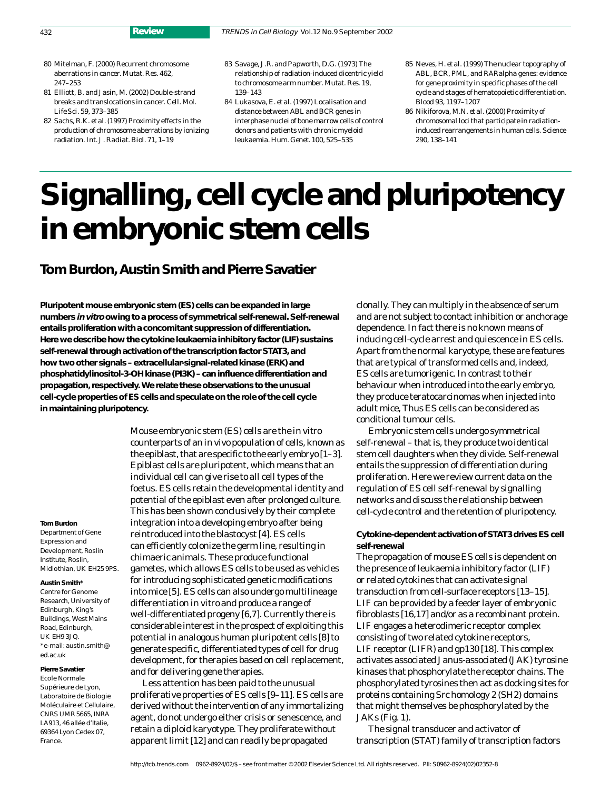- 80 Mitelman, F. (2000) Recurrent chromosome aberrations in cancer. *Mutat. Res*. 462, 247–253
- 81 Elliott, B. and Jasin, M. (2002) Double-strand breaks and translocations in cancer. *Cell. Mol. Life Sci*. 59, 373–385
- 82 Sachs, R.K. *et al.* (1997) Proximity effects in the production of chromosome aberrations by ionizing radiation. *Int. J. Radiat. Biol*. 71, 1–19
- 83 Savage, J.R. and Papworth, D.G. (1973) The relationship of radiation-induced dicentric yield to chromosome arm number. *Mutat. Res*. 19, 139–143
- 84 Lukasova, E. *et al.* (1997) Localisation and distance between *ABL* and *BCR* genes in interphase nuclei of bone marrow cells of control donors and patients with chronic myeloid leukaemia. *Hum. Genet*. 100, 525–535
- 85 Neves, H. *et al.* (1999) The nuclear topography of *ABL*, *BCR*, *PML*, and *RARalpha* genes: evidence for gene proximity in specific phases of the cell cycle and stages of hematopoietic differentiation. *Blood* 93, 1197–1207
- 86 Nikiforova, M.N. *et al.* (2000) Proximity of chromosomal loci that participate in radiationinduced rearrangements in human cells. *Science* 290, 138–141

# **Signalling, cell cycle and pluripotency in embryonic stem cells**

## **Tom Burdon, Austin Smith and Pierre Savatier**

**Pluripotent mouse embryonic stem (ES) cells can be expanded in large numbers in vitro owing to a process of symmetrical self-renewal. Self-renewal entails proliferation with a concomitant suppression of differentiation. Here we describe how the cytokine leukaemia inhibitory factor (LIF) sustains self-renewal through activation of the transcription factor STAT3, and how two other signals – extracellular-signal-related kinase (ERK) and phosphatidylinositol-3-OH kinase (PI3K) – can influence differentiation and propagation, respectively. We relate these observations to the unusual cell-cycle properties of ES cells and speculate on the role of the cell cycle in maintaining pluripotency.**

#### **Tom Burdon**

Department of Gene Expression and Development, Roslin Institute, Roslin, Midlothian, UK EH25 9PS.

#### **Austin Smith\***

Centre for Genome Research, University of Edinburgh, King's Buildings, West Mains Road, Edinburgh, UK EH9 3JQ. \*e-mail: austin.smith@ ed.ac.uk

#### **Pierre Savatier**

Ecole Normale Supérieure de Lyon, Laboratoire de Biologie Moléculaire et Cellulaire, CNRS UMR 5665, INRA LA913, 46 allée d'Italie, 69364 Lyon Cedex 07, France.

Mouse embryonic stem (ES) cells are the *in vitro* counterparts of an *in vivo* population of cells, known as the epiblast, that are specific to the early embryo [1–3]. Epiblast cells are pluripotent, which means that an individual cell can give rise to all cell types of the foetus. ES cells retain the developmental identity and potential of the epiblast even after prolonged culture. This has been shown conclusively by their complete integration into a developing embryo after being reintroduced into the blastocyst [4]. ES cells can efficiently colonize the germ line, resulting in chimaeric animals. These produce functional gametes, which allows ES cells to be used as vehicles for introducing sophisticated genetic modifications into mice [5]. ES cells can also undergo multilineage differentiation *in vitro* and produce a range of well-differentiated progeny [6,7]. Currently there is considerable interest in the prospect of exploiting this potential in analogous human pluripotent cells [8] to generate specific, differentiated types of cell for drug development, for therapies based on cell replacement, and for delivering gene therapies.

Less attention has been paid to the unusual proliferative properties of ES cells [9–11]. ES cells are derived without the intervention of any immortalizing agent, do not undergo either crisis or senescence, and retain a diploid karyotype. They proliferate without apparent limit [12] and can readily be propagated

clonally. They can multiply in the absence of serum and are not subject to contact inhibition or anchorage dependence. In fact there is no known means of inducing cell-cycle arrest and quiescence in ES cells. Apart from the normal karyotype, these are features that are typical of transformed cells and, indeed, ES cells are tumorigenic. In contrast to their behaviour when introduced into the early embryo, they produce teratocarcinomas when injected into adult mice, Thus ES cells can be considered as conditional tumour cells.

Embryonic stem cells undergo symmetrical self-renewal – that is, they produce two identical stem cell daughters when they divide. Self-renewal entails the suppression of differentiation during proliferation. Here we review current data on the regulation of ES cell self-renewal by signalling networks and discuss the relationship between cell-cycle control and the retention of pluripotency.

### **Cytokine-dependent activation of STAT3 drives ES cell self-renewal**

The propagation of mouse ES cells is dependent on the presence of leukaemia inhibitory factor (LIF) or related cytokines that can activate signal transduction from cell-surface receptors [13–15]. LIF can be provided by a feeder layer of embryonic fibroblasts [16,17] and/or as a recombinant protein. LIF engages a heterodimeric receptor complex consisting of two related cytokine receptors, LIF receptor (LIFR) and gp130 [18]. This complex activates associated Janus-associated (JAK) tyrosine kinases that phosphorylate the receptor chains. The phosphorylated tyrosines then act as docking sites for proteins containing Src homology 2 (SH2) domains that might themselves be phosphorylated by the JAKs (Fig. 1).

The signal transducer and activator of transcription (STAT) family of transcription factors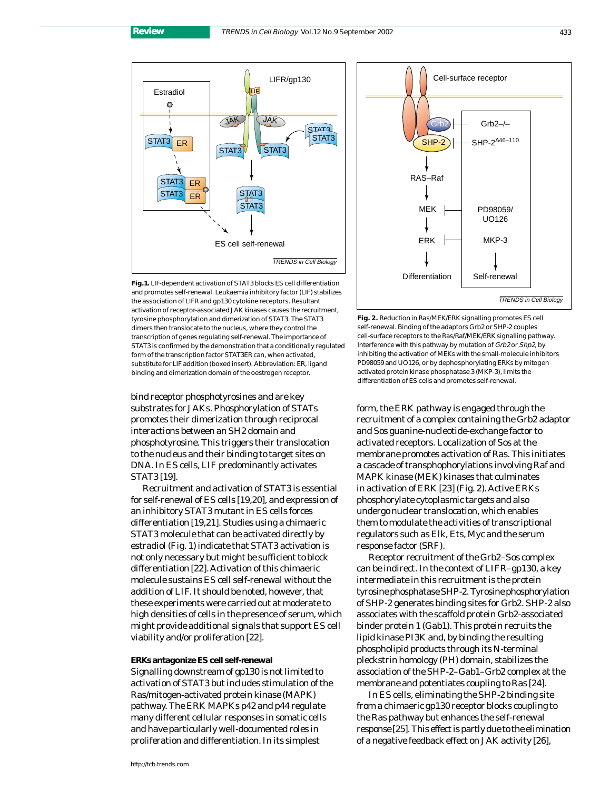

**Fig.1.** LIF-dependent activation of STAT3 blocks ES cell differentiation and promotes self-renewal. Leukaemia inhibitory factor (LIF) stabilizes the association of LIFR and gp130 cytokine receptors. Resultant activation of receptor-associated JAK kinases causes the recruitment, tyrosine phosphorylation and dimerization of STAT3. The STAT3 dimers then translocate to the nucleus, where they control the transcription of genes regulating self-renewal. The importance of STAT3 is confirmed by the demonstration that a conditionally regulated form of the transcription factor STAT3ER can, when activated, substitute for LIF addition (boxed insert). Abbreviation: ER, ligand binding and dimerization domain of the oestrogen receptor.

bind receptor phosphotyrosines and are key substrates for JAKs. Phosphorylation of STATs promotes their dimerization through reciprocal interactions between an SH2 domain and phosphotyrosine. This triggers their translocation to the nucleus and their binding to target sites on DNA. In ES cells, LIF predominantly activates STAT3 [19].

Recruitment and activation of STAT3 is essential for self-renewal of ES cells [19,20], and expression of an inhibitory STAT3 mutant in ES cells forces differentiation [19,21]. Studies using a chimaeric STAT3 molecule that can be activated directly by estradiol (Fig. 1) indicate that STAT3 activation is not only necessary but might be sufficient to block differentiation [22]. Activation of this chimaeric molecule sustains ES cell self-renewal without the addition of LIF. It should be noted, however, that these experiments were carried out at moderate to high densities of cells in the presence of serum, which might provide additional signals that support ES cell viability and/or proliferation [22].

#### **ERKs antagonize ES cell self-renewal**

Signalling downstream of gp130 is not limited to activation of STAT3 but includes stimulation of the Ras/mitogen-activated protein kinase (MAPK) pathway. The ERK MAPKs p42 and p44 regulate many different cellular responses in somatic cells and have particularly well-documented roles in proliferation and differentiation. In its simplest



**Fig. 2.** Reduction in Ras/MEK/ERK signalling promotes ES cell self-renewal. Binding of the adaptors Grb2 or SHP-2 couples cell-surface receptors to the Ras/Raf/MEK/ERK signalling pathway. Interference with this pathway by mutation of Grb2 or Shp2, by inhibiting the activation of MEKs with the small-molecule inhibitors PD98059 and UO126, or by dephosphorylating ERKs by mitogen activated protein kinase phosphatase 3 (MKP-3), limits the differentiation of ES cells and promotes self-renewal.

form, the ERK pathway is engaged through the recruitment of a complex containing the Grb2 adaptor and Sos guanine-nucleotide-exchange factor to activated receptors. Localization of Sos at the membrane promotes activation of Ras. This initiates a cascade of transphophorylations involving Raf and MAPK kinase (MEK) kinases that culminates in activation of ERK [23] (Fig. 2). Active ERKs phosphorylate cytoplasmic targets and also undergo nuclear translocation, which enables them to modulate the activities of transcriptional regulators such as Elk, Ets, Myc and the serum response factor (SRF).

Receptor recruitment of the Grb2–Sos complex can be indirect. In the context of LIFR–gp130, a key intermediate in this recruitment is the protein tyrosine phosphatase SHP-2. Tyrosine phosphorylation of SHP-2 generates binding sites for Grb2. SHP-2 also associates with the scaffold protein Grb2-associated binder protein 1 (Gab1). This protein recruits the lipid kinase PI3K and, by binding the resulting phospholipid products through its N-terminal pleckstrin homology (PH) domain, stabilizes the association of the SHP-2–Gab1–Grb2 complex at the membrane and potentiates coupling to Ras [24].

In ES cells, eliminating the SHP-2 binding site from a chimaeric gp130 receptor blocks coupling to the Ras pathway but enhances the self-renewal response [25]. This effect is partly due to the elimination of a negative feedback effect on JAK activity [26],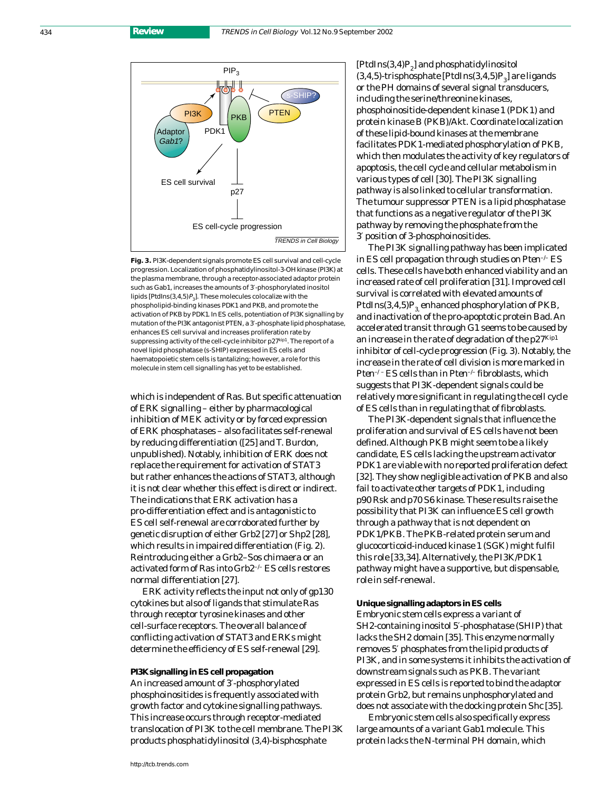434 **Review**



**Fig. 3.** PI3K-dependent signals promote ES cell survival and cell-cycle progression. Localization of phosphatidylinositol-3-OH kinase (PI3K) at the plasma membrane, through a receptor-associated adaptor protein such as Gab1, increases the amounts of 3′-phosphorylated inositol lipids [PtdIns(3,4,5) $P_3$ ]. These molecules colocalize with the phospholipid-binding kinases PDK1 and PKB, and promote the activation of PKB by PDK1. In ES cells, potentiation of PI3K signalling by mutation of the PI3K antagonist PTEN, a 3′-phosphate lipid phosphatase, enhances ES cell survival and increases proliferation rate by suppressing activity of the cell-cycle inhibitor p27kip1. The report of a novel lipid phosphatase (s-SHIP) expressed in ES cells and haematopoietic stem cells is tantalizing; however, a role for this molecule in stem cell signalling has yet to be established.

which is independent of Ras. But specific attenuation of ERK signalling – either by pharmacological inhibition of MEK activity or by forced expression of ERK phosphatases – also facilitates self-renewal by reducing differentiation ([25] and T. Burdon, unpublished). Notably, inhibition of ERK does not replace the requirement for activation of STAT3 but rather enhances the actions of STAT3, although it is not clear whether this effect is direct or indirect. The indications that ERK activation has a pro-differentiation effect and is antagonistic to ES cell self-renewal are corroborated further by genetic disruption of either *Grb2* [27] or *Shp2* [28], which results in impaired differentiation (Fig. 2). Reintroducing either a Grb2–Sos chimaera or an activated form of Ras into *Grb2<sup>-/-</sup>* ES cells restores normal differentiation [27].

ERK activity reflects the input not only of gp130 cytokines but also of ligands that stimulate Ras through receptor tyrosine kinases and other cell-surface receptors. The overall balance of conflicting activation of STAT3 and ERKs might determine the efficiency of ES self-renewal [29].

**PI3K signalling in ES cell propagation** An increased amount of 3′-phosphorylated phosphoinositides is frequently associated with growth factor and cytokine signalling pathways. This increase occurs through receptor-mediated translocation of PI3K to the cell membrane. The PI3K products phosphatidylinositol (3,4)-bisphosphate

 $[PtdIns(3,4)P<sub>2</sub>]$  and phosphatidylinositol  $(3,4,5)$ -trisphosphate [PtdIns $(3,4,5)P<sub>3</sub>$ ] are ligands or the PH domains of several signal transducers, including the serine/threonine kinases, phosphoinositide-dependent kinase 1 (PDK1) and protein kinase B (PKB)/Akt. Coordinate localization of these lipid-bound kinases at the membrane facilitates PDK1-mediated phosphorylation of PKB, which then modulates the activity of key regulators of apoptosis, the cell cycle and cellular metabolism in various types of cell [30]. The PI3K signalling pathway is also linked to cellular transformation. The tumour suppressor PTEN is a lipid phosphatase that functions as a negative regulator of the PI3K pathway by removing the phosphate from the 3′ position of 3-phosphoinositides.

The PI3K signalling pathway has been implicated in ES cell propagation through studies on *Pten<sup>-1</sup>* ES cells. These cells have both enhanced viability and an increased rate of cell proliferation [31]. Improved cell survival is correlated with elevated amounts of PtdIns $(3,4,5)P<sub>3</sub>$  enhanced phosphorylation of PKB, and inactivation of the pro-apoptotic protein Bad. An accelerated transit through G1 seems to be caused by an increase in the rate of degradation of the p27Kip1 inhibitor of cell-cycle progression (Fig. 3). Notably, the increase in the rate of cell division is more marked in *Pten–/–* ES cells than in *Pten*–/– fibroblasts, which suggests that PI3K-dependent signals could be relatively more significant in regulating the cell cycle of ES cells than in regulating that of fibroblasts.

The PI3K-dependent signals that influence the proliferation and survival of ES cells have not been defined. Although PKB might seem to be a likely candidate, ES cells lacking the upstream activator PDK1 are viable with no reported proliferation defect [32]. They show negligible activation of PKB and also fail to activate other targets of PDK1, including p90 Rsk and p70 S6 kinase. These results raise the possibility that PI3K can influence ES cell growth through a pathway that is not dependent on PDK1/PKB. The PKB-related protein serum and glucocorticoid-induced kinase 1 (SGK) might fulfil this role [33,34]. Alternatively, the PI3K/PDK1 pathway might have a supportive, but dispensable, role in self-renewal.

**Unique signalling adaptors in ES cells** Embryonic stem cells express a variant of SH2-containing inositol 5′-phosphatase (SHIP) that lacks the SH2 domain [35]. This enzyme normally removes 5′ phosphates from the lipid products of PI3K, and in some systems it inhibits the activation of downstream signals such as PKB. The variant expressed in ES cells is reported to bind the adaptor protein Grb2, but remains unphosphorylated and does not associate with the docking protein Shc [35].

Embryonic stem cells also specifically express large amounts of a variant Gab1 molecule. This protein lacks the N-terminal PH domain, which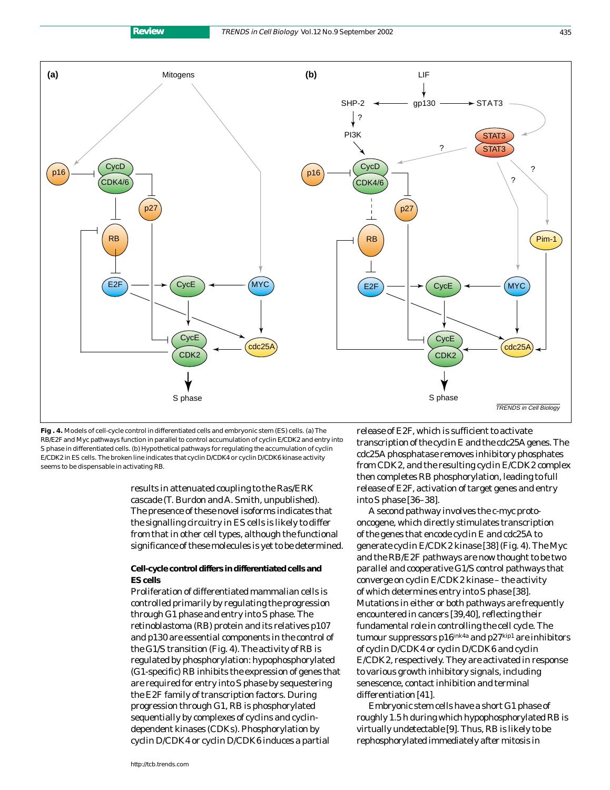

**Fig . 4.** Models of cell-cycle control in differentiated cells and embryonic stem (ES) cells. (a) The RB/E2F and Myc pathways function in parallel to control accumulation of cyclin E/CDK2 and entry into S phase in differentiated cells. (b) Hypothetical pathways for regulating the accumulation of cyclin E/CDK2 in ES cells. The broken line indicates that cyclin D/CDK4 or cyclin D/CDK6 kinase activity seems to be dispensable in activating RB.

S phase

results in attenuated coupling to the Ras/ERK cascade (T. Burdon and A. Smith, unpublished). The presence of these novel isoforms indicates that the signalling circuitry in ES cells is likely to differ from that in other cell types, although the functional significance of these molecules is yet to be determined.

#### **Cell-cycle control differs in differentiated cells and ES cells**

Proliferation of differentiated mammalian cells is controlled primarily by regulating the progression through G1 phase and entry into S phase. The retinoblastoma (RB) protein and its relatives p107 and p130 are essential components in the control of the G1/S transition (Fig. 4). The activity of RB is regulated by phosphorylation: hypophosphorylated (G1-specific) RB inhibits the expression of genes that are required for entry into S phase by sequestering the E2F family of transcription factors. During progression through G1, RB is phosphorylated sequentially by complexes of cyclins and cyclindependent kinases (CDKs). Phosphorylation by cyclin D/CDK4 or cyclin D/CDK6 induces a partial

release of E2F, which is sufficient to activate transcription of the *cyclin E* and the *cdc25A* genes. The cdc25A phosphatase removes inhibitory phosphates from CDK2, and the resulting cyclin E/CDK2 complex then completes RB phosphorylation, leading to full release of E2F, activation of target genes and entry into S phase [36–38].

S phase

TRENDS in Cell Biology

A second pathway involves the c-*myc* protooncogene, which directly stimulates transcription of the genes that encode cyclin E and cdc25A to generate cyclin E/CDK2 kinase [38] (Fig. 4). The Myc and the RB/E2F pathways are now thought to be two parallel and cooperative G1/S control pathways that converge on cyclin E/CDK2 kinase – the activity of which determines entry into S phase [38]. Mutations in either or both pathways are frequently encountered in cancers [39,40], reflecting their fundamental role in controlling the cell cycle. The tumour suppressors p16<sup>ink4a</sup> and p27<sup>kip1</sup> are inhibitors of cyclin D/CDK4 or cyclin D/CDK6 and cyclin E/CDK2, respectively. They are activated in response to various growth inhibitory signals, including senescence, contact inhibition and terminal differentiation [41].

Embryonic stem cells have a short G1 phase of roughly 1.5 h during which hypophosphorylated RB is virtually undetectable [9]. Thus, RB is likely to be rephosphorylated immediately after mitosis in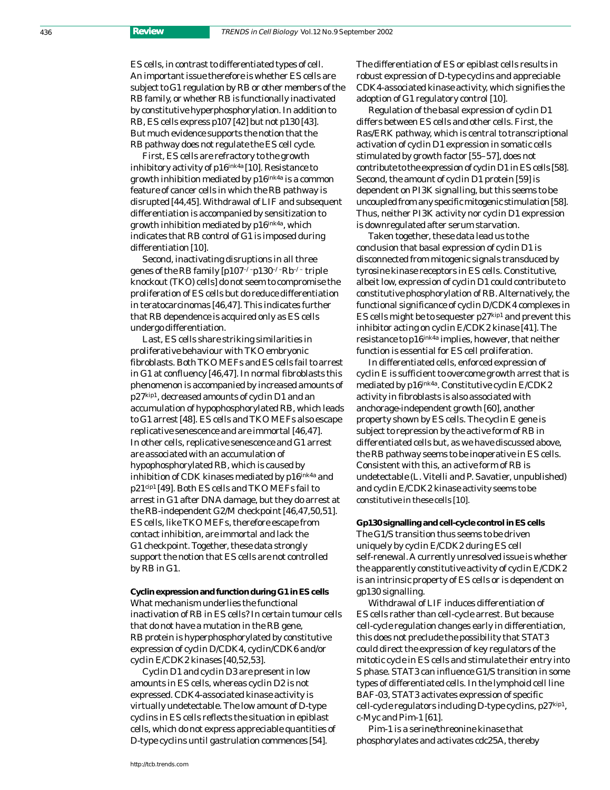ES cells, in contrast to differentiated types of cell. An important issue therefore is whether ES cells are subject to G1 regulation by RB or other members of the RB family, or whether RB is functionally inactivated by constitutive hyperphosphorylation. In addition to RB, ES cells express p107 [42] but not p130 [43]. But much evidence supports the notion that the RB pathway does not regulate the ES cell cycle.

First, ES cells are refractory to the growth inhibitory activity of p16<sup>ink4a</sup> [10]. Resistance to growth inhibition mediated by  $p16^{\text{ink4a}}$  is a common feature of cancer cells in which the RB pathway is disrupted [44,45]. Withdrawal of LIF and subsequent differentiation is accompanied by sensitization to growth inhibition mediated by  $p16^{ink4a}$ , which indicates that RB control of G1 is imposed during differentiation [10].

Second, inactivating disruptions in all three genes of the RB family [*p107–/–p130–/–Rb–/–* triple knockout (TKO) cells] do not seem to compromise the proliferation of ES cells but do reduce differentiation in teratocarcinomas [46,47]. This indicates further that RB dependence is acquired only as ES cells undergo differentiation.

Last, ES cells share striking similarities in proliferative behaviour with TKO embryonic fibroblasts. Both TKO MEFs and ES cells fail to arrest in G1 at confluency [46,47]. In normal fibroblasts this phenomenon is accompanied by increased amounts of p27kip1, decreased amounts of cyclin D1 and an accumulation of hypophosphorylated RB, which leads to G1 arrest [48]. ES cells and TKO MEFs also escape replicative senescence and are immortal [46,47]. In other cells, replicative senescence and G1 arrest are associated with an accumulation of hypophosphorylated RB, which is caused by inhibition of CDK kinases mediated by p16ink4a and p21cip1 [49]. Both ES cells and TKO MEFs fail to arrest in G1 after DNA damage, but they do arrest at the RB-independent G2/M checkpoint [46,47,50,51]. ES cells, like TKO MEFs, therefore escape from contact inhibition, are immortal and lack the G1 checkpoint. Together, these data strongly support the notion that ES cells are not controlled by RB in G1.

**Cyclin expression and function during G1 in ES cells** What mechanism underlies the functional inactivation of RB in ES cells? In certain tumour cells that do not have a mutation in the *RB* gene, RB protein is hyperphosphorylated by constitutive expression of cyclin D/CDK4, cyclin/CDK6 and/or cyclin E/CDK2 kinases [40,52,53].

Cyclin D1 and cyclin D3 are present in low amounts in ES cells, whereas cyclin D2 is not expressed. CDK4-associated kinase activity is virtually undetectable. The low amount of D-type cyclins in ES cells reflects the situation in epiblast cells, which do not express appreciable quantities of D-type cyclins until gastrulation commences [54].

The differentiation of ES or epiblast cells results in robust expression of D-type cyclins and appreciable CDK4-associated kinase activity, which signifies the adoption of G1 regulatory control [10].

Regulation of the basal expression of cyclin D1 differs between ES cells and other cells. First, the Ras/ERK pathway, which is central to transcriptional activation of cyclin D1 expression in somatic cells stimulated by growth factor [55–57], does not contribute to the expression of cyclin D1 in ES cells [58]. Second, the amount of cyclin D1 protein [59] is dependent on PI3K signalling, but this seems to be uncoupled from any specific mitogenic stimulation [58]. Thus, neither PI3K activity nor cyclin D1 expression is downregulated after serum starvation.

Taken together, these data lead us to the conclusion that basal expression of cyclin D1 is disconnected from mitogenic signals transduced by tyrosine kinase receptors in ES cells. Constitutive, albeit low, expression of cyclin D1 could contribute to constitutive phosphorylation of RB. Alternatively, the functional significance of cyclin D/CDK4 complexes in ES cells might be to sequester  $p27$ <sup>kip1</sup> and prevent this inhibitor acting on cyclin E/CDK2 kinase [41]. The resistance to p16ink4a implies, however, that neither function is essential for ES cell proliferation.

In differentiated cells, enforced expression of cyclin E is sufficient to overcome growth arrest that is mediated by p16ink4a. Constitutive cyclin E/CDK2 activity in fibroblasts is also associated with anchorage-independent growth [60], another property shown by ES cells. The *cyclin E* gene is subject to repression by the active form of RB in differentiated cells but, as we have discussed above, the RB pathway seems to be inoperative in ES cells. Consistent with this, an active form of RB is undetectable (L. Vitelli and P. Savatier, unpublished) and cyclin E/CDK2 kinase activity seems to be constitutive in these cells [10].

**Gp130 signalling and cell-cycle control in ES cells** The G1/S transition thus seems to be driven uniquely by cyclin E/CDK2 during ES cell self-renewal. A currently unresolved issue is whether the apparently constitutive activity of cyclin E/CDK2 is an intrinsic property of ES cells or is dependent on gp130 signalling.

Withdrawal of LIF induces differentiation of ES cells rather than cell-cycle arrest. But because cell-cycle regulation changes early in differentiation, this does not preclude the possibility that STAT3 could direct the expression of key regulators of the mitotic cycle in ES cells and stimulate their entry into S phase. STAT3 can influence G1/S transition in some types of differentiated cells. In the lymphoid cell line BAF-03, STAT3 activates expression of specific cell-cycle regulators including D-type cyclins, p27kip1, c-Myc and Pim-1 [61].

Pim-1 is a serine/threonine kinase that phosphorylates and activates cdc25A, thereby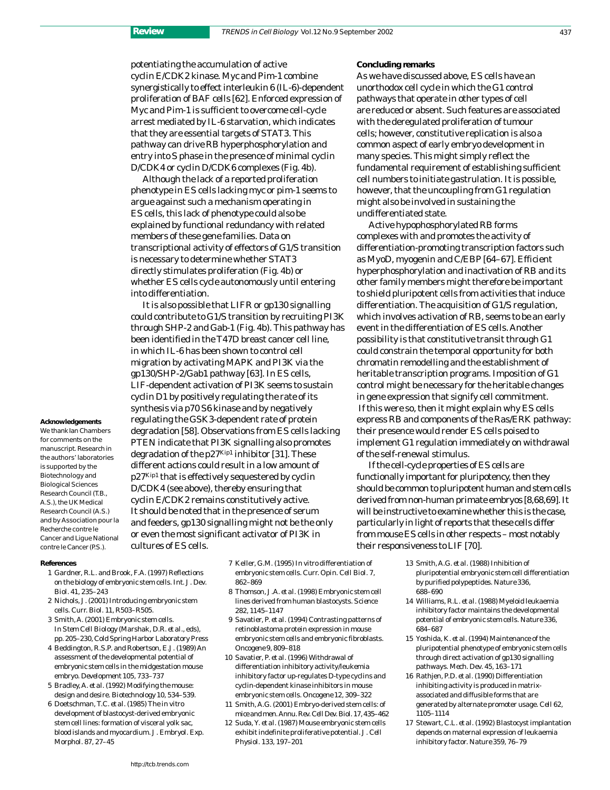potentiating the accumulation of active cyclin E/CDK2 kinase. Myc and Pim-1 combine synergistically to effect interleukin 6 (IL-6)-dependent proliferation of BAF cells [62]. Enforced expression of Myc and Pim-1 is sufficient to overcome cell-cycle arrest mediated by IL-6 starvation, which indicates that they are essential targets of STAT3. This pathway can drive RB hyperphosphorylation and entry into S phase in the presence of minimal cyclin D/CDK4 or cyclin D/CDK6 complexes (Fig. 4b).

Although the lack of a reported proliferation phenotype in ES cells lacking *myc* or *pim-1* seems to argue against such a mechanism operating in ES cells, this lack of phenotype could also be explained by functional redundancy with related members of these gene families. Data on transcriptional activity of effectors of G1/S transition is necessary to determine whether STAT3 directly stimulates proliferation (Fig. 4b) or whether ES cells cycle autonomously until entering into differentiation.

It is also possible that LIFR or gp130 signalling could contribute to G1/S transition by recruiting PI3K through SHP-2 and Gab-1 (Fig. 4b). This pathway has been identified in the T47D breast cancer cell line, in which IL-6 has been shown to control cell migration by activating MAPK and PI3K via the gp130/SHP-2/Gab1 pathway [63]. In ES cells, LIF-dependent activation of PI3K seems to sustain cyclin D1 by positively regulating the rate of its synthesis via p70 S6 kinase and by negatively regulating the GSK3-dependent rate of protein degradation [58]. Observations from ES cells lacking PTEN indicate that PI3K signalling also promotes degradation of the p27Kip1 inhibitor [31]. These different actions could result in a low amount of p27Kip1 that is effectively sequestered by cyclin D/CDK4 (see above), thereby ensuring that cyclin E/CDK2 remains constitutively active. It should be noted that in the presence of serum and feeders, gp130 signalling might not be the only or even the most significant activator of PI3K in cultures of ES cells.

for comments on the manuscript. Research in

**Acknowledgements** We thank Ian Chambers

the authors' laboratories is supported by the Biotechnology and Biological Sciences Research Council (T.B., A.S.), the UK Medical Research Council (A.S.) and by Association pour la Recherche contre le Cancer and Ligue National contre le Cancer (P.S.).

#### **References**

- 1 Gardner, R.L. and Brook, F.A. (1997) Reflections on the biology of embryonic stem cells. *Int. J. Dev. Biol.* 41, 235–243
- 2 Nichols, J. (2001) Introducing embryonic stem cells. *Curr. Biol.* 11, R503–R505.
- 3 Smith, A. (2001) Embryonic stem cells. In *Stem Cell Biology* (Marshak, D.R. *et al.*, eds), pp. 205–230, Cold Spring Harbor Laboratory Press
- 4 Beddington, R.S.P. and Robertson, E.J. (1989) An assessment of the developmental potential of embryonic stem cells in the midgestation mouse embryo. *Development* 105, 733–737
- 5 Bradley, A. *et al.* (1992) Modifying the mouse: design and desire. *Biotechnology* 10, 534–539.
- 6 Doetschman, T.C. *et al.* (1985) The *in vitro* development of blastocyst-derived embryonic stem cell lines: formation of visceral yolk sac, blood islands and myocardium. *J. Embryol. Exp. Morphol.* 87, 27–45
- 7 Keller, G.M. (1995) *In vitro* differentiation of embryonic stem cells. *Curr. Opin. Cell Biol.* 7, 862–869
- 8 Thomson, J.A. *et al.* (1998) Embryonic stem cell lines derived from human blastocysts. *Science* 282, 1145–1147
- 9 Savatier, P. *et al.* (1994) Contrasting patterns of retinoblastoma protein expression in mouse embryonic stem cells and embryonic fibroblasts. *Oncogene* 9, 809–818
- 10 Savatier, P. *et al.* (1996) Withdrawal of differentiation inhibitory activity/leukemia inhibitory factor up-regulates D-type cyclins and cyclin-dependent kinase inhibitors in mouse embryonic stem cells. *Oncogene* 12, 309–322
- 11 Smith, A.G. (2001) Embryo-derived stem cells: of mice and men. *Annu. Rev. Cell Dev. Biol.*17, 435–462
- 12 Suda, Y. *et al.* (1987) Mouse embryonic stem cells exhibit indefinite proliferative potential. *J. Cell Physiol.* 133, 197–201

**Concluding remarks**

As we have discussed above, ES cells have an unorthodox cell cycle in which the G1 control pathways that operate in other types of cell are reduced or absent. Such features are associated with the deregulated proliferation of tumour cells; however, constitutive replication is also a common aspect of early embryo development in many species. This might simply reflect the fundamental requirement of establishing sufficient cell numbers to initiate gastrulation. It is possible, however, that the uncoupling from G1 regulation might also be involved in sustaining the undifferentiated state.

Active hypophosphorylated RB forms complexes with and promotes the activity of differentiation-promoting transcription factors such as MyoD, myogenin and C/EBP [64–67]. Efficient hyperphosphorylation and inactivation of RB and its other family members might therefore be important to shield pluripotent cells from activities that induce differentiation. The acquisition of G1/S regulation, which involves activation of RB, seems to be an early event in the differentiation of ES cells. Another possibility is that constitutive transit through G1 could constrain the temporal opportunity for both chromatin remodelling and the establishment of heritable transcription programs. Imposition of G1 control might be necessary for the heritable changes in gene expression that signify cell commitment. If this were so, then it might explain why ES cells express RB and components of the Ras/ERK pathway: their presence would render ES cells poised to implement G1 regulation immediately on withdrawal of the self-renewal stimulus.

If the cell-cycle properties of ES cells are functionally important for pluripotency, then they should be common to pluripotent human and stem cells derived from non-human primate embryos [8,68,69]. It will be instructive to examine whether this is the case, particularly in light of reports that these cells differ from mouse ES cells in other respects – most notably their responsiveness to LIF [70].

- 13 Smith, A.G. *et al.* (1988) Inhibition of pluripotential embryonic stem cell differentiation by purified polypeptides. *Nature* 336, 688–690
- 14 Williams, R.L. *et al.* (1988) Myeloid leukaemia inhibitory factor maintains the developmental potential of embryonic stem cells. *Nature* 336, 684–687
- 15 Yoshida, K. *et al.* (1994) Maintenance of the pluripotential phenotype of embryonic stem cells through direct activation of gp130 signalling pathways. *Mech. Dev.* 45, 163–171
- 16 Rathjen, P.D. *et al.* (1990) Differentiation inhibiting activity is produced in matrixassociated and diffusible forms that are generated by alternate promoter usage. *Cell* 62, 1105–1114
- 17 Stewart, C.L. *et al.* (1992) Blastocyst implantation depends on maternal expression of leukaemia inhibitory factor. *Nature* 359, 76–79